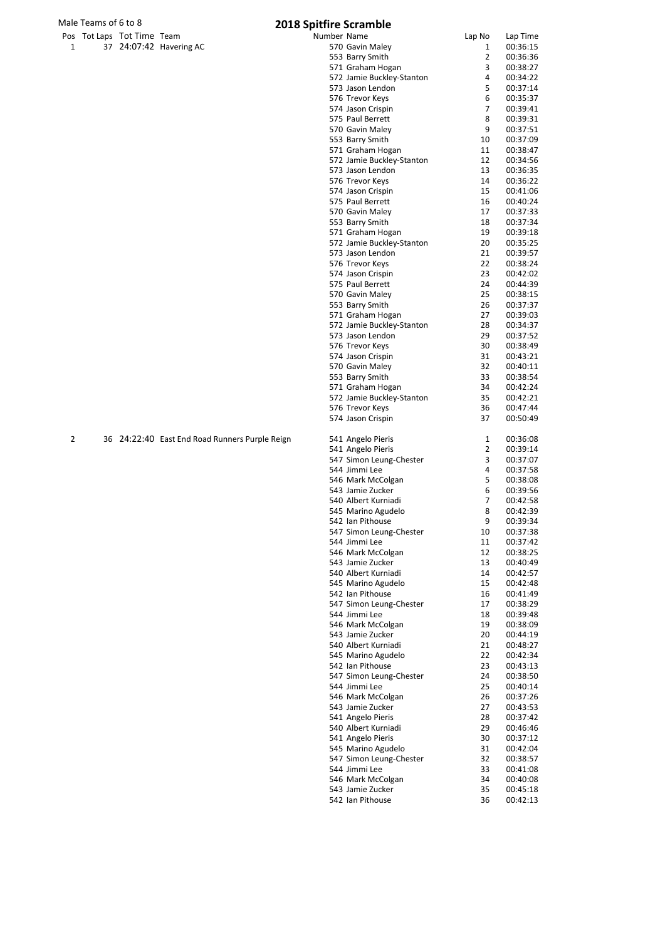# Male Teams of 6 to 8<br>
Pos Tot Laps Tot Time Team **2018 Spitfire Scramble**

|  | Pos Tot Laps Tot Time Team |                         |
|--|----------------------------|-------------------------|
|  |                            | 37 24:07:42 Havering AC |

|   |                          |                                                |             | טושוווט של טווו           |                |          |
|---|--------------------------|------------------------------------------------|-------------|---------------------------|----------------|----------|
|   | s Tot Laps Tot Time Team |                                                | Number Name |                           | Lap No         | Lap Time |
| 1 |                          | 37 24:07:42 Havering AC                        |             | 570 Gavin Maley           | $\mathbf{1}$   | 00:36:15 |
|   |                          |                                                |             | 553 Barry Smith           | $\overline{2}$ | 00:36:36 |
|   |                          |                                                |             | 571 Graham Hogan          | 3              | 00:38:27 |
|   |                          |                                                |             |                           |                |          |
|   |                          |                                                |             | 572 Jamie Buckley-Stanton | 4              | 00:34:22 |
|   |                          |                                                |             | 573 Jason Lendon          | 5              | 00:37:14 |
|   |                          |                                                |             | 576 Trevor Keys           | 6              | 00:35:37 |
|   |                          |                                                |             | 574 Jason Crispin         | 7              | 00:39:41 |
|   |                          |                                                |             | 575 Paul Berrett          | 8              | 00:39:31 |
|   |                          |                                                |             |                           | 9              |          |
|   |                          |                                                |             | 570 Gavin Maley           |                | 00:37:51 |
|   |                          |                                                |             | 553 Barry Smith           | 10             | 00:37:09 |
|   |                          |                                                |             | 571 Graham Hogan          | 11             | 00:38:47 |
|   |                          |                                                |             | 572 Jamie Buckley-Stanton | 12             | 00:34:56 |
|   |                          |                                                |             | 573 Jason Lendon          | 13             | 00:36:35 |
|   |                          |                                                |             | 576 Trevor Keys           | 14             | 00:36:22 |
|   |                          |                                                |             |                           | 15             | 00:41:06 |
|   |                          |                                                |             | 574 Jason Crispin         |                |          |
|   |                          |                                                |             | 575 Paul Berrett          | 16             | 00:40:24 |
|   |                          |                                                |             | 570 Gavin Maley           | 17             | 00:37:33 |
|   |                          |                                                |             | 553 Barry Smith           | 18             | 00:37:34 |
|   |                          |                                                |             | 571 Graham Hogan          | 19             | 00:39:18 |
|   |                          |                                                |             | 572 Jamie Buckley-Stanton | 20             | 00:35:25 |
|   |                          |                                                |             | 573 Jason Lendon          | 21             | 00:39:57 |
|   |                          |                                                |             |                           |                |          |
|   |                          |                                                |             | 576 Trevor Keys           | 22             | 00:38:24 |
|   |                          |                                                |             | 574 Jason Crispin         | 23             | 00:42:02 |
|   |                          |                                                |             | 575 Paul Berrett          | 24             | 00:44:39 |
|   |                          |                                                |             | 570 Gavin Maley           | 25             | 00:38:15 |
|   |                          |                                                |             | 553 Barry Smith           | 26             | 00:37:37 |
|   |                          |                                                |             | 571 Graham Hogan          | 27             | 00:39:03 |
|   |                          |                                                |             |                           |                |          |
|   |                          |                                                |             | 572 Jamie Buckley-Stanton | 28             | 00:34:37 |
|   |                          |                                                |             | 573 Jason Lendon          | 29             | 00:37:52 |
|   |                          |                                                |             | 576 Trevor Keys           | 30             | 00:38:49 |
|   |                          |                                                |             | 574 Jason Crispin         | 31             | 00:43:21 |
|   |                          |                                                |             | 570 Gavin Maley           | 32             | 00:40:11 |
|   |                          |                                                |             | 553 Barry Smith           | 33             | 00:38:54 |
|   |                          |                                                |             |                           |                |          |
|   |                          |                                                |             | 571 Graham Hogan          | 34             | 00:42:24 |
|   |                          |                                                |             | 572 Jamie Buckley-Stanton | 35             | 00:42:21 |
|   |                          |                                                |             | 576 Trevor Keys           | 36             | 00:47:44 |
|   |                          |                                                |             | 574 Jason Crispin         | 37             | 00:50:49 |
|   |                          |                                                |             |                           |                |          |
| 2 |                          | 36 24:22:40 East End Road Runners Purple Reign |             | 541 Angelo Pieris         | 1              | 00:36:08 |
|   |                          |                                                |             | 541 Angelo Pieris         | 2              | 00:39:14 |
|   |                          |                                                |             | 547 Simon Leung-Chester   | 3              | 00:37:07 |
|   |                          |                                                |             | 544 Jimmi Lee             | 4              | 00:37:58 |
|   |                          |                                                |             | 546 Mark McColgan         | 5              | 00:38:08 |
|   |                          |                                                |             | 543 Jamie Zucker          | 6              | 00:39:56 |
|   |                          |                                                |             | 540 Albert Kurniadi       | $\overline{7}$ |          |
|   |                          |                                                |             |                           |                | 00:42:58 |
|   |                          |                                                |             | 545 Marino Agudelo        | 8              | 00:42:39 |
|   |                          |                                                |             | 542 Ian Pithouse          | 9              | 00:39:34 |
|   |                          |                                                |             | 547 Simon Leung-Chester   | 10             | 00:37:38 |
|   |                          |                                                |             | 544 Jimmi Lee             | 11             | 00:37:42 |
|   |                          |                                                |             | 546 Mark McColgan         | 12             | 00:38:25 |
|   |                          |                                                |             | 543 Jamie Zucker          | 13             |          |
|   |                          |                                                |             |                           |                | 00:40:49 |
|   |                          |                                                |             | 540 Albert Kurniadi       | 14             | 00:42:57 |
|   |                          |                                                |             | 545 Marino Agudelo        | 15             | 00:42:48 |
|   |                          |                                                |             | 542 Ian Pithouse          | 16             | 00:41:49 |
|   |                          |                                                |             | 547 Simon Leung-Chester   | 17             | 00:38:29 |
|   |                          |                                                |             | 544 Jimmi Lee             | 18             | 00:39:48 |
|   |                          |                                                |             | 546 Mark McColgan         | 19             | 00:38:09 |
|   |                          |                                                |             | 543 Jamie Zucker          | 20             | 00:44:19 |
|   |                          |                                                |             |                           |                |          |
|   |                          |                                                |             | 540 Albert Kurniadi       | 21             | 00:48:27 |
|   |                          |                                                |             | 545 Marino Agudelo        | 22             | 00:42:34 |
|   |                          |                                                |             | 542 Ian Pithouse          | 23             | 00:43:13 |
|   |                          |                                                |             | 547 Simon Leung-Chester   | 24             | 00:38:50 |
|   |                          |                                                |             | 544 Jimmi Lee             | 25             | 00:40:14 |
|   |                          |                                                |             | 546 Mark McColgan         | 26             | 00:37:26 |
|   |                          |                                                |             | 543 Jamie Zucker          | 27             | 00:43:53 |
|   |                          |                                                |             |                           |                |          |
|   |                          |                                                |             | 541 Angelo Pieris         | 28             | 00:37:42 |
|   |                          |                                                |             | 540 Albert Kurniadi       | 29             | 00:46:46 |
|   |                          |                                                |             | 541 Angelo Pieris         | 30             | 00:37:12 |
|   |                          |                                                |             | 545 Marino Agudelo        | 31             | 00:42:04 |
|   |                          |                                                |             | 547 Simon Leung-Chester   | 32             | 00:38:57 |
|   |                          |                                                |             | 544 Jimmi Lee             | 33             | 00:41:08 |
|   |                          |                                                |             | 546 Mark McColgan         | 34             | 00:40:08 |
|   |                          |                                                |             | 543 Jamie Zucker          | 35             |          |
|   |                          |                                                |             |                           |                | 00:45:18 |
|   |                          |                                                |             | 542 Ian Pithouse          | 36             | 00:42:13 |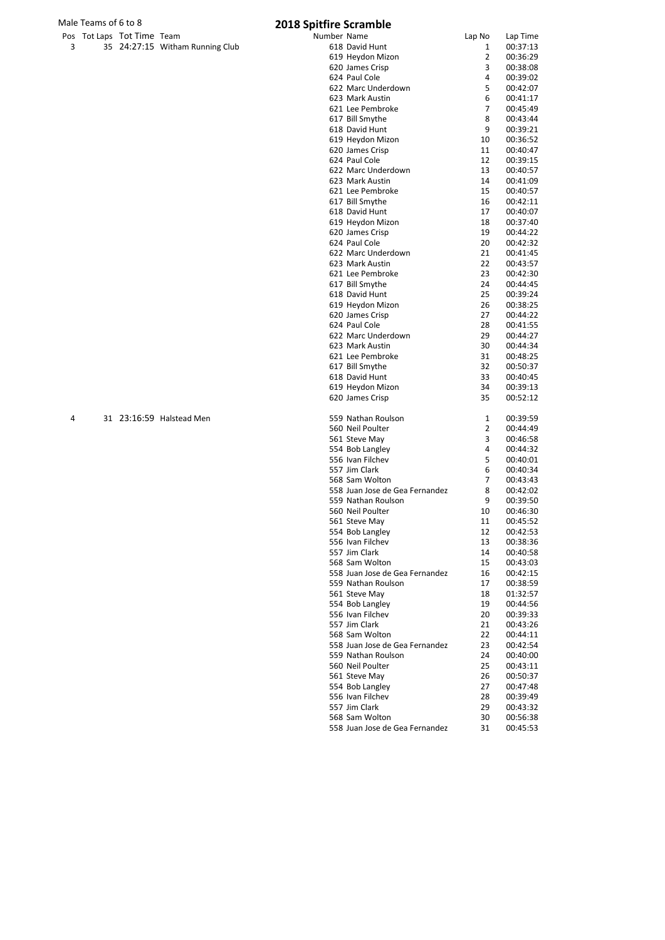## Male Teams of 6 to 8<br>
Pos Tot Laps Tot Time Team **1989** 2018 Spitfire Scramble

|                | Pos Tot Laps Tot Time Team |                                 |
|----------------|----------------------------|---------------------------------|
| $\overline{3}$ |                            | 35 24:27:15 Witham Running Club |

|   | s Tot Laps Tot Time Team |                                 | Number Name |                                                      | Lap No         | Lap Time             |
|---|--------------------------|---------------------------------|-------------|------------------------------------------------------|----------------|----------------------|
| 3 |                          | 35 24:27:15 Witham Running Club |             | 618 David Hunt                                       | 1              | 00:37:13             |
|   |                          |                                 |             | 619 Heydon Mizon                                     | $\overline{2}$ | 00:36:29             |
|   |                          |                                 |             | 620 James Crisp                                      | 3              | 00:38:08             |
|   |                          |                                 |             | 624 Paul Cole                                        | 4              | 00:39:02             |
|   |                          |                                 |             | 622 Marc Underdown                                   | 5              | 00:42:07             |
|   |                          |                                 |             | 623 Mark Austin                                      | 6              | 00:41:17             |
|   |                          |                                 |             | 621 Lee Pembroke                                     | $\overline{7}$ | 00:45:49             |
|   |                          |                                 |             | 617 Bill Smythe                                      | 8<br>9         | 00:43:44             |
|   |                          |                                 |             | 618 David Hunt<br>619 Heydon Mizon                   | 10             | 00:39:21<br>00:36:52 |
|   |                          |                                 |             | 620 James Crisp                                      | 11             | 00:40:47             |
|   |                          |                                 |             | 624 Paul Cole                                        | 12             | 00:39:15             |
|   |                          |                                 |             | 622 Marc Underdown                                   | 13             | 00:40:57             |
|   |                          |                                 |             | 623 Mark Austin                                      | 14             | 00:41:09             |
|   |                          |                                 |             | 621 Lee Pembroke                                     | 15             | 00:40:57             |
|   |                          |                                 |             | 617 Bill Smythe                                      | 16             | 00:42:11             |
|   |                          |                                 |             | 618 David Hunt                                       | 17             | 00:40:07             |
|   |                          |                                 |             | 619 Heydon Mizon                                     | 18             | 00:37:40             |
|   |                          |                                 |             | 620 James Crisp                                      | 19             | 00:44:22             |
|   |                          |                                 |             | 624 Paul Cole                                        | 20             | 00:42:32             |
|   |                          |                                 |             | 622 Marc Underdown                                   | 21             | 00:41:45             |
|   |                          |                                 |             | 623 Mark Austin                                      | 22             | 00:43:57             |
|   |                          |                                 |             | 621 Lee Pembroke                                     | 23             | 00:42:30             |
|   |                          |                                 |             | 617 Bill Smythe<br>618 David Hunt                    | 24<br>25       | 00:44:45<br>00:39:24 |
|   |                          |                                 |             | 619 Heydon Mizon                                     | 26             | 00:38:25             |
|   |                          |                                 |             | 620 James Crisp                                      | 27             | 00:44:22             |
|   |                          |                                 |             | 624 Paul Cole                                        | 28             | 00:41:55             |
|   |                          |                                 |             | 622 Marc Underdown                                   | 29             | 00:44:27             |
|   |                          |                                 |             | 623 Mark Austin                                      | 30             | 00:44:34             |
|   |                          |                                 |             | 621 Lee Pembroke                                     | 31             | 00:48:25             |
|   |                          |                                 |             | 617 Bill Smythe                                      | 32             | 00:50:37             |
|   |                          |                                 |             | 618 David Hunt                                       | 33             | 00:40:45             |
|   |                          |                                 |             | 619 Heydon Mizon                                     | 34             | 00:39:13             |
|   |                          |                                 |             | 620 James Crisp                                      | 35             | 00:52:12             |
| 4 |                          | 31 23:16:59 Halstead Men        |             | 559 Nathan Roulson                                   | 1              | 00:39:59             |
|   |                          |                                 |             | 560 Neil Poulter                                     | 2              | 00:44:49             |
|   |                          |                                 |             | 561 Steve May                                        | 3              | 00:46:58             |
|   |                          |                                 |             | 554 Bob Langley                                      | 4              | 00:44:32             |
|   |                          |                                 |             | 556 Ivan Filchev                                     | 5              | 00:40:01             |
|   |                          |                                 |             | 557 Jim Clark                                        | 6              | 00:40:34             |
|   |                          |                                 |             | 568 Sam Wolton                                       | 7              | 00:43:43             |
|   |                          |                                 |             | 558 Juan Jose de Gea Fernandez                       | 8<br>9         | 00:42:02             |
|   |                          |                                 |             | 559 Nathan Roulson<br>560 Neil Poulter               | 10             | 00:39:50<br>00:46:30 |
|   |                          |                                 |             | 561 Steve May                                        | 11             | 00:45:52             |
|   |                          |                                 |             | 554 Bob Langley                                      | 12             | 00:42:53             |
|   |                          |                                 |             | 556 Ivan Filchev                                     | 13             | 00:38:36             |
|   |                          |                                 |             | 557 Jim Clark                                        | 14             | 00:40:58             |
|   |                          |                                 |             | 568 Sam Wolton                                       | 15             | 00:43:03             |
|   |                          |                                 |             | 558 Juan Jose de Gea Fernandez                       | 16             | 00:42:15             |
|   |                          |                                 |             | 559 Nathan Roulson                                   | 17             | 00:38:59             |
|   |                          |                                 |             | 561 Steve May                                        | 18             | 01:32:57             |
|   |                          |                                 |             | 554 Bob Langley                                      | 19             | 00:44:56             |
|   |                          |                                 |             | 556 Ivan Filchev                                     | 20             | 00:39:33             |
|   |                          |                                 |             | 557 Jim Clark                                        | 21             | 00:43:26             |
|   |                          |                                 |             | 568 Sam Wolton                                       | 22             | 00:44:11             |
|   |                          |                                 |             | 558 Juan Jose de Gea Fernandez<br>559 Nathan Roulson | 23<br>24       | 00:42:54             |
|   |                          |                                 |             | 560 Neil Poulter                                     | 25             | 00:40:00<br>00:43:11 |
|   |                          |                                 |             | 561 Steve May                                        | 26             | 00:50:37             |
|   |                          |                                 |             | 554 Bob Langley                                      | 27             | 00:47:48             |
|   |                          |                                 |             | 556 Ivan Filchev                                     | 28             | 00:39:49             |
|   |                          |                                 |             | 557 Jim Clark                                        | 29             | 00:43:32             |
|   |                          |                                 |             | 568 Sam Wolton                                       | 30             | 00:56:38             |
|   |                          |                                 |             | 558 Juan Jose de Gea Fernandez                       | 31             | 00:45:53             |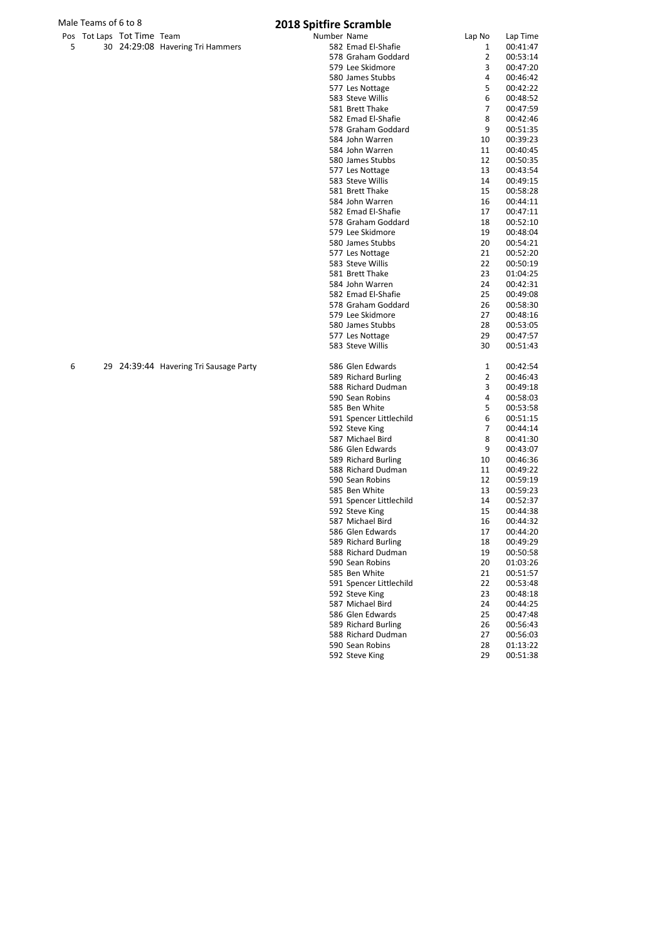## Male Teams of 6 to 8 2018 Spitfire Scramble

|  | Pos Tot Laps Tot Time Team |                                  |
|--|----------------------------|----------------------------------|
|  |                            | 30 24:29:08 Havering Tri Hammers |

|   | s Tot Laps Tot Time Team |                                        | Number Name |                         | Lap No         | Lap Time |
|---|--------------------------|----------------------------------------|-------------|-------------------------|----------------|----------|
| 5 |                          | 30 24:29:08 Havering Tri Hammers       |             | 582 Emad El-Shafie      | 1              | 00:41:47 |
|   |                          |                                        |             | 578 Graham Goddard      | 2              | 00:53:14 |
|   |                          |                                        |             | 579 Lee Skidmore        | 3              | 00:47:20 |
|   |                          |                                        |             | 580 James Stubbs        | 4              | 00:46:42 |
|   |                          |                                        |             | 577 Les Nottage         | 5              | 00:42:22 |
|   |                          |                                        |             | 583 Steve Willis        | 6              | 00:48:52 |
|   |                          |                                        |             | 581 Brett Thake         | 7              | 00:47:59 |
|   |                          |                                        |             | 582 Emad El-Shafie      | 8              | 00:42:46 |
|   |                          |                                        |             | 578 Graham Goddard      | 9              | 00:51:35 |
|   |                          |                                        |             | 584 John Warren         | 10             | 00:39:23 |
|   |                          |                                        |             | 584 John Warren         | 11             | 00:40:45 |
|   |                          |                                        |             |                         | 12             |          |
|   |                          |                                        |             | 580 James Stubbs        |                | 00:50:35 |
|   |                          |                                        |             | 577 Les Nottage         | 13             | 00:43:54 |
|   |                          |                                        |             | 583 Steve Willis        | 14             | 00:49:15 |
|   |                          |                                        |             | 581 Brett Thake         | 15             | 00:58:28 |
|   |                          |                                        |             | 584 John Warren         | 16             | 00:44:11 |
|   |                          |                                        |             | 582 Emad El-Shafie      | 17             | 00:47:11 |
|   |                          |                                        |             | 578 Graham Goddard      | 18             | 00:52:10 |
|   |                          |                                        |             | 579 Lee Skidmore        | 19             | 00:48:04 |
|   |                          |                                        |             | 580 James Stubbs        | 20             | 00:54:21 |
|   |                          |                                        |             | 577 Les Nottage         | 21             | 00:52:20 |
|   |                          |                                        |             | 583 Steve Willis        | 22             | 00:50:19 |
|   |                          |                                        |             | 581 Brett Thake         | 23             | 01:04:25 |
|   |                          |                                        |             | 584 John Warren         | 24             | 00:42:31 |
|   |                          |                                        |             | 582 Emad El-Shafie      | 25             | 00:49:08 |
|   |                          |                                        |             | 578 Graham Goddard      | 26             | 00:58:30 |
|   |                          |                                        |             | 579 Lee Skidmore        | 27             | 00:48:16 |
|   |                          |                                        |             | 580 James Stubbs        | 28             | 00:53:05 |
|   |                          |                                        |             | 577 Les Nottage         | 29             | 00:47:57 |
|   |                          |                                        |             | 583 Steve Willis        | 30             | 00:51:43 |
| 6 |                          | 29 24:39:44 Havering Tri Sausage Party |             | 586 Glen Edwards        | 1              | 00:42:54 |
|   |                          |                                        |             | 589 Richard Burling     | 2              | 00:46:43 |
|   |                          |                                        |             | 588 Richard Dudman      | 3              |          |
|   |                          |                                        |             |                         | 4              | 00:49:18 |
|   |                          |                                        |             | 590 Sean Robins         |                | 00:58:03 |
|   |                          |                                        |             | 585 Ben White           | 5              | 00:53:58 |
|   |                          |                                        |             | 591 Spencer Littlechild | 6              | 00:51:15 |
|   |                          |                                        |             | 592 Steve King          | $\overline{7}$ | 00:44:14 |
|   |                          |                                        |             | 587 Michael Bird        | 8              | 00:41:30 |
|   |                          |                                        |             | 586 Glen Edwards        | 9              | 00:43:07 |
|   |                          |                                        |             | 589 Richard Burling     | 10             | 00:46:36 |
|   |                          |                                        |             | 588 Richard Dudman      | 11             | 00:49:22 |
|   |                          |                                        |             | 590 Sean Robins         | 12             | 00:59:19 |
|   |                          |                                        |             | 585 Ben White           | 13             | 00:59:23 |
|   |                          |                                        |             | 591 Spencer Littlechild | 14             | 00:52:37 |
|   |                          |                                        |             | 592 Steve King          | 15             | 00:44:38 |
|   |                          |                                        |             | 587 Michael Bird        | 16             | 00:44:32 |
|   |                          |                                        |             | 586 Glen Edwards        | 17             | 00:44:20 |
|   |                          |                                        |             | 589 Richard Burling     | 18             | 00:49:29 |
|   |                          |                                        |             | 588 Richard Dudman      | 19             | 00:50:58 |
|   |                          |                                        |             | 590 Sean Robins         | 20             | 01:03:26 |
|   |                          |                                        |             | 585 Ben White           | 21             | 00:51:57 |
|   |                          |                                        |             | 591 Spencer Littlechild | 22             | 00:53:48 |
|   |                          |                                        |             | 592 Steve King          | 23             | 00:48:18 |
|   |                          |                                        |             | 587 Michael Bird        | 24             | 00:44:25 |
|   |                          |                                        |             | 586 Glen Edwards        | 25             | 00:47:48 |
|   |                          |                                        |             |                         |                |          |
|   |                          |                                        |             | 589 Richard Burling     | 26             | 00:56:43 |
|   |                          |                                        |             | 588 Richard Dudman      | 27             | 00:56:03 |
|   |                          |                                        |             | 590 Sean Robins         | 28             | 01:13:22 |
|   |                          |                                        |             | 592 Steve King          | 29             | 00:51:38 |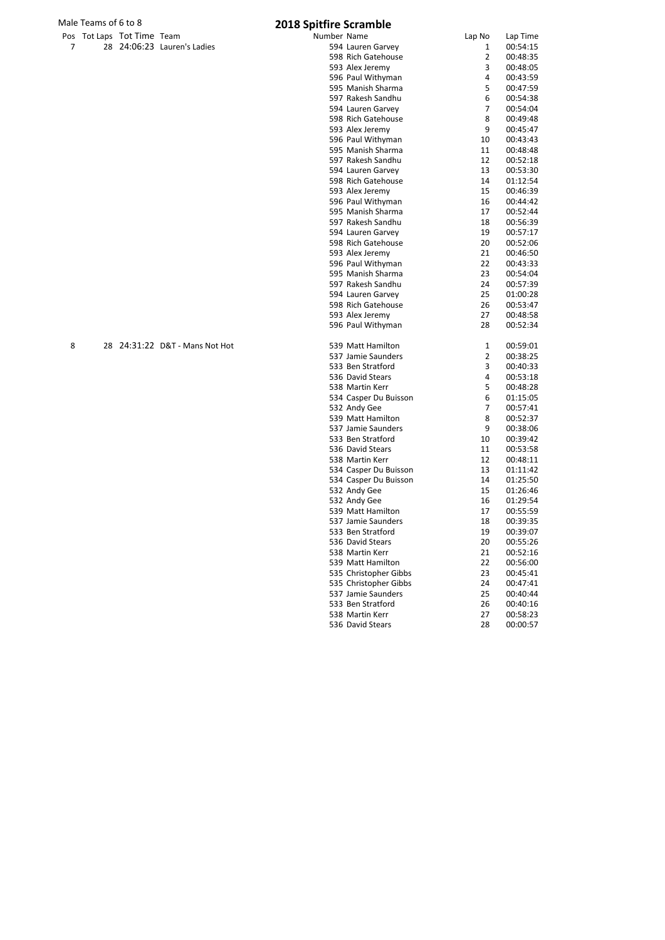## Male Teams of 6 to 8<br>
Pos Tot Laps Tot Time Team **1989** 2018 Spitfire Scramble

|    | Pos Tot Laps Tot Time Team |                             |
|----|----------------------------|-----------------------------|
| -7 |                            | 28 24:06:23 Lauren's Ladies |

|   | s Tot Laps Tot Time Team |                             | Number Name |                       | Lap No         | Lap Time |
|---|--------------------------|-----------------------------|-------------|-----------------------|----------------|----------|
| 7 |                          | 28 24:06:23 Lauren's Ladies |             | 594 Lauren Garvey     | 1              | 00:54:15 |
|   |                          |                             |             | 598 Rich Gatehouse    | $\overline{2}$ | 00:48:35 |
|   |                          |                             |             | 593 Alex Jeremy       | 3              | 00:48:05 |
|   |                          |                             |             | 596 Paul Withyman     | 4              | 00:43:59 |
|   |                          |                             |             | 595 Manish Sharma     | 5              | 00:47:59 |
|   |                          |                             |             | 597 Rakesh Sandhu     | 6              | 00:54:38 |
|   |                          |                             |             | 594 Lauren Garvey     | 7              | 00:54:04 |
|   |                          |                             |             | 598 Rich Gatehouse    | 8              | 00:49:48 |
|   |                          |                             |             | 593 Alex Jeremy       | 9              | 00:45:47 |
|   |                          |                             |             | 596 Paul Withyman     | 10             | 00:43:43 |
|   |                          |                             |             | 595 Manish Sharma     | 11             | 00:48:48 |
|   |                          |                             |             | 597 Rakesh Sandhu     | 12             | 00:52:18 |
|   |                          |                             |             | 594 Lauren Garvey     | 13             | 00:53:30 |
|   |                          |                             |             | 598 Rich Gatehouse    | 14             | 01:12:54 |
|   |                          |                             |             | 593 Alex Jeremy       | 15             | 00:46:39 |
|   |                          |                             |             | 596 Paul Withyman     | 16             | 00:44:42 |
|   |                          |                             |             | 595 Manish Sharma     | 17             | 00:52:44 |
|   |                          |                             |             | 597 Rakesh Sandhu     | 18             | 00:56:39 |
|   |                          |                             |             | 594 Lauren Garvey     | 19             | 00:57:17 |
|   |                          |                             |             | 598 Rich Gatehouse    | 20             | 00:52:06 |
|   |                          |                             |             | 593 Alex Jeremy       | 21             | 00:46:50 |
|   |                          |                             |             | 596 Paul Withyman     | 22             | 00:43:33 |
|   |                          |                             |             | 595 Manish Sharma     | 23             | 00:54:04 |
|   |                          |                             |             | 597 Rakesh Sandhu     | 24             | 00:57:39 |
|   |                          |                             |             | 594 Lauren Garvey     | 25             | 01:00:28 |
|   |                          |                             |             | 598 Rich Gatehouse    | 26             | 00:53:47 |
|   |                          |                             |             | 593 Alex Jeremy       | 27             | 00:48:58 |
|   |                          |                             |             | 596 Paul Withyman     | 28             | 00:52:34 |
| 8 | 28                       | 24:31:22 D&T - Mans Not Hot |             | 539 Matt Hamilton     | 1              | 00:59:01 |
|   |                          |                             |             | 537 Jamie Saunders    | 2              | 00:38:25 |
|   |                          |                             |             | 533 Ben Stratford     | 3              | 00:40:33 |
|   |                          |                             |             | 536 David Stears      | 4              | 00:53:18 |
|   |                          |                             |             | 538 Martin Kerr       | 5              | 00:48:28 |
|   |                          |                             |             | 534 Casper Du Buisson | 6              | 01:15:05 |
|   |                          |                             |             | 532 Andy Gee          | 7              | 00:57:41 |
|   |                          |                             |             | 539 Matt Hamilton     | 8              | 00:52:37 |
|   |                          |                             |             | 537 Jamie Saunders    | 9              | 00:38:06 |
|   |                          |                             |             | 533 Ben Stratford     | 10             | 00:39:42 |
|   |                          |                             |             | 536 David Stears      | 11             | 00:53:58 |
|   |                          |                             |             | 538 Martin Kerr       | 12             | 00:48:11 |
|   |                          |                             |             | 534 Casper Du Buisson | 13             | 01:11:42 |
|   |                          |                             |             | 534 Casper Du Buisson | 14             | 01:25:50 |
|   |                          |                             |             | 532 Andy Gee          | 15             | 01:26:46 |
|   |                          |                             |             | 532 Andy Gee          | 16             | 01:29:54 |
|   |                          |                             |             | 539 Matt Hamilton     | 17             | 00:55:59 |
|   |                          |                             |             | 537 Jamie Saunders    | 18             | 00:39:35 |
|   |                          |                             |             | 533 Ben Stratford     | 19             | 00:39:07 |
|   |                          |                             |             | 536 David Stears      | 20             | 00:55:26 |
|   |                          |                             |             | 538 Martin Kerr       | 21             | 00:52:16 |
|   |                          |                             |             | 539 Matt Hamilton     | 22             | 00:56:00 |
|   |                          |                             |             | 535 Christopher Gibbs | 23             | 00:45:41 |
|   |                          |                             |             | 535 Christopher Gibbs | 24             | 00:47:41 |
|   |                          |                             |             | 537 Jamie Saunders    | 25             | 00:40:44 |
|   |                          |                             |             | 533 Ben Stratford     | 26             | 00:40:16 |
|   |                          |                             |             | 538 Martin Kerr       | 27             | 00:58:23 |
|   |                          |                             |             | 536 David Stears      | 28             | 00:00:57 |